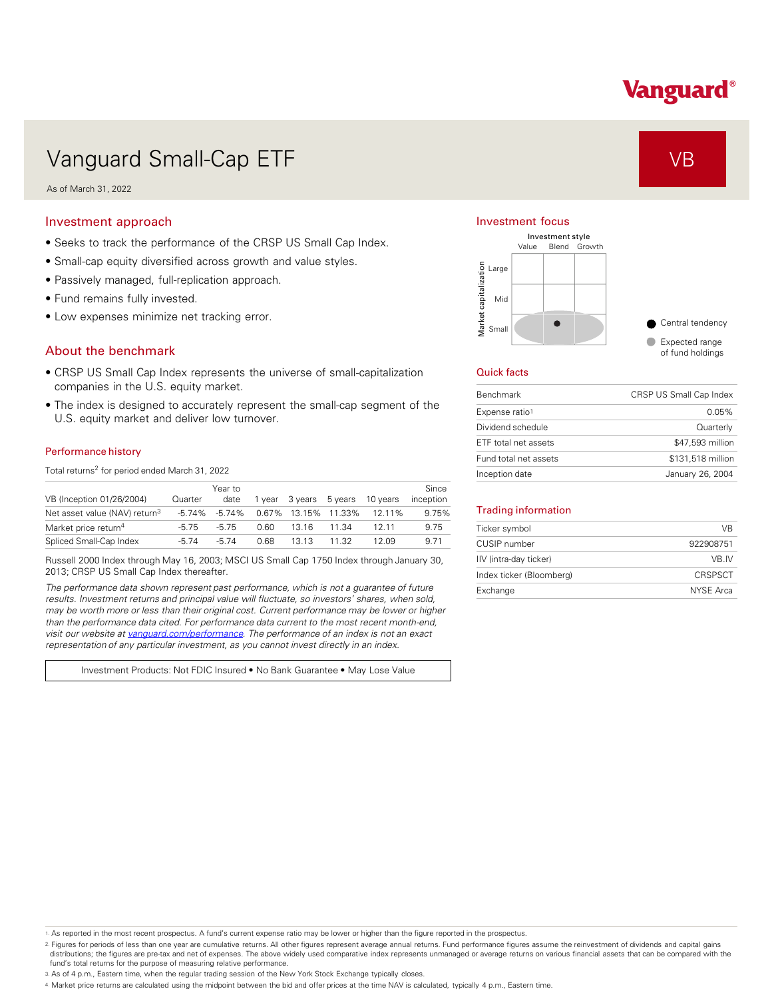# Vanguard®

# Vanguard Small-Cap ETF VB Vanguard Small-Cap ETF

As of March 31, 2022

### Investment approach

- Seeks to track the performance of the CRSP US Small Cap Index.
- Small-cap equity diversified across growth and value styles.
- Passively managed, full-replication approach.
- Fund remains fully invested.
- Low expenses minimize net tracking error.

### About the benchmark

- CRSP US Small Cap Index represents the universe of small-capitalization companies in the U.S. equity market.
- The index is designed to accurately represent the small-cap segment of the U.S. equity market and deliver low turnover.

#### Performance history

Total returns<sup>2</sup> for period ended March 31, 2022

| VB (Inception 01/26/2004)                 | Quarter | Year to<br>date   | 1 vear | 3 vears             | 5 vears | 10 years | Since<br>inception |
|-------------------------------------------|---------|-------------------|--------|---------------------|---------|----------|--------------------|
| Net asset value (NAV) return <sup>3</sup> |         | $-5.74\% -5.74\%$ |        | 0.67% 13.15% 11.33% |         | 12 11%   | 9.75%              |
| Market price return <sup>4</sup>          | $-5.75$ | -5 75             | 0.60   | 13 16               | 11.34   | 12 11    | 9.75               |
| Spliced Small-Cap Index                   | -5 74   | -5 74             | 0.68   | 13 13               | 11 32   | 12 በ9    | 9.71               |

Russell 2000 Index through May 16, 2003; MSCI US Small Cap 1750 Index through January 30, 2013; CRSP US Small Cap Index thereafter.

*The performance data shown represent past performance, which is not a guarantee of future results. Investment returns and principal value will fluctuate, so investors' shares, when sold, may be worth more or less than their original cost. Current performance may be lower or higher than the performance data cited. For performance data current to the most recent month-end, visit our website at [vanguard.com/performance .](http://www.vanguard.com/performance) The performance of an index is not an exact representation of any particular investment, as you cannot invest directly in an index.* 

Investment Products: Not FDIC Insured • No Bank Guarantee • May Lose Value

#### Investment focus



#### Quick facts

| <b>Benchmark</b>      | CRSP US Small Cap Index |
|-----------------------|-------------------------|
| Expense ratio1        | 0.05%                   |
| Dividend schedule     | Quarterly               |
| ETF total net assets  | \$47,593 million        |
| Fund total net assets | \$131,518 million       |
| Inception date        | January 26, 2004        |

#### Trading information

| Ticker symbol            | VB        |
|--------------------------|-----------|
| CUSIP number             | 922908751 |
| IIV (intra-day ticker)   | VB IV     |
| Index ticker (Bloomberg) | CRSPSCT   |
| Exchange                 | NYSE Arca |

1. As reported in the most recent prospectus. A fund's current expense ratio may be lower or higher than the figure reported in the prospectus.

2. Figures for periods of less than one year are cumulative returns. All other figures represent average annual returns. Fund performance figures assume the reinvestment of dividends and capital gains distributions; the figures are pre-tax and net of expenses. The above widely used comparative index represents unmanaged or average returns on various financial assets that can be compared with the fund's total returns for the purpose of measuring relative performance.

3. As of 4 p.m., Eastern time, when the regular trading session of the New York Stock Exchange typically closes.

4. Market price returns are calculated using the midpoint between the bid and offer prices at the time NAV is calculated, typically 4 p.m., Eastern time.